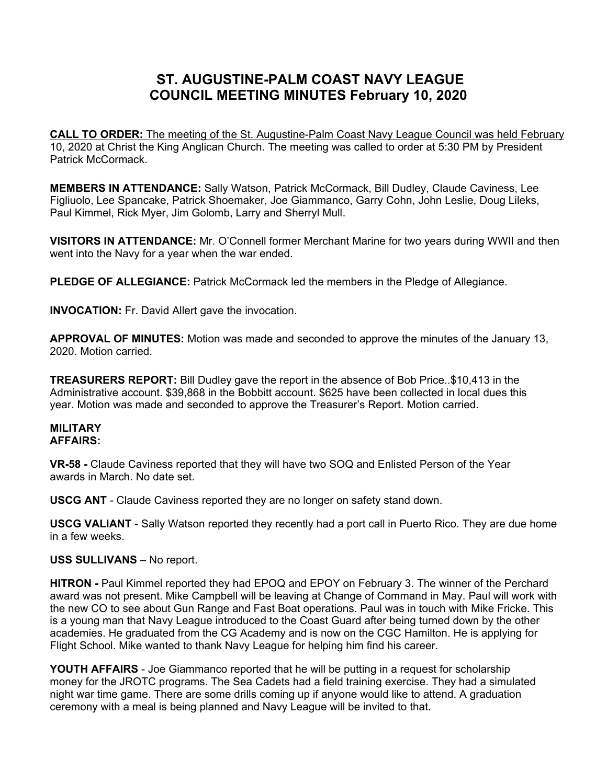## **ST. AUGUSTINE-PALM COAST NAVY LEAGUE COUNCIL MEETING MINUTES February 10, 2020**

**CALL TO ORDER:** The meeting of the St. Augustine-Palm Coast Navy League Council was held February 10, 2020 at Christ the King Anglican Church. The meeting was called to order at 5:30 PM by President Patrick McCormack.

**MEMBERS IN ATTENDANCE:** Sally Watson, Patrick McCormack, Bill Dudley, Claude Caviness, Lee Figliuolo, Lee Spancake, Patrick Shoemaker, Joe Giammanco, Garry Cohn, John Leslie, Doug Lileks, Paul Kimmel, Rick Myer, Jim Golomb, Larry and Sherryl Mull.

**VISITORS IN ATTENDANCE:** Mr. O'Connell former Merchant Marine for two years during WWII and then went into the Navy for a year when the war ended.

**PLEDGE OF ALLEGIANCE:** Patrick McCormack led the members in the Pledge of Allegiance.

**INVOCATION:** Fr. David Allert gave the invocation.

**APPROVAL OF MINUTES:** Motion was made and seconded to approve the minutes of the January 13, 2020. Motion carried.

**TREASURERS REPORT:** Bill Dudley gave the report in the absence of Bob Price..\$10,413 in the Administrative account. \$39,868 in the Bobbitt account. \$625 have been collected in local dues this year. Motion was made and seconded to approve the Treasurer's Report. Motion carried.

## **MILITARY AFFAIRS:**

**VR-58 -** Claude Caviness reported that they will have two SOQ and Enlisted Person of the Year awards in March. No date set.

**USCG ANT** - Claude Caviness reported they are no longer on safety stand down.

**USCG VALIANT** - Sally Watson reported they recently had a port call in Puerto Rico. They are due home in a few weeks.

## **USS SULLIVANS** – No report.

**HITRON** - Paul Kimmel reported they had EPOQ and EPOY on February 3. The winner of the Perchard award was not present. Mike Campbell will be leaving at Change of Command in May. Paul will work with the new CO to see about Gun Range and Fast Boat operations. Paul was in touch with Mike Fricke. This is a young man that Navy League introduced to the Coast Guard after being turned down by the other academies. He graduated from the CG Academy and is now on the CGC Hamilton. He is applying for Flight School. Mike wanted to thank Navy League for helping him find his career.

**YOUTH AFFAIRS** - Joe Giammanco reported that he will be putting in a request for scholarship money for the JROTC programs. The Sea Cadets had a field training exercise. They had a simulated night war time game. There are some drills coming up if anyone would like to attend. A graduation ceremony with a meal is being planned and Navy League will be invited to that.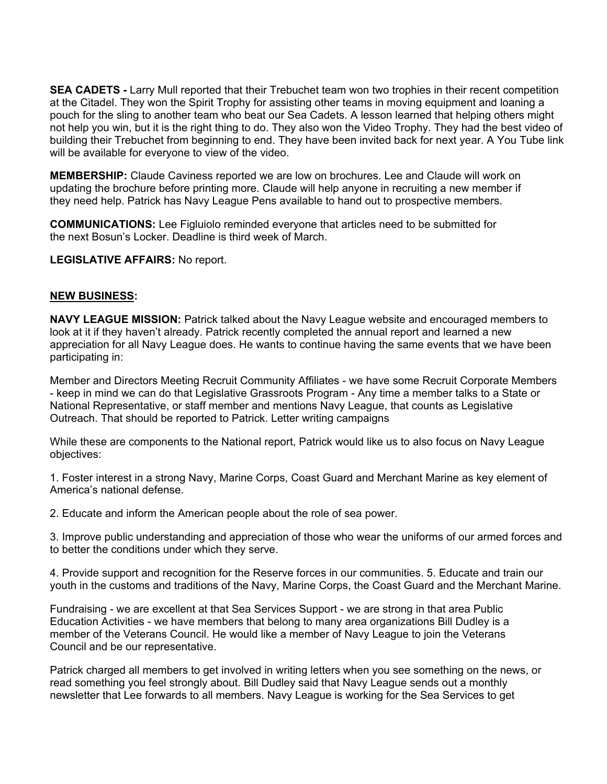**SEA CADETS - Larry Mull reported that their Trebuchet team won two trophies in their recent competition** at the Citadel. They won the Spirit Trophy for assisting other teams in moving equipment and loaning a pouch for the sling to another team who beat our Sea Cadets. A lesson learned that helping others might not help you win, but it is the right thing to do. They also won the Video Trophy. They had the best video of building their Trebuchet from beginning to end. They have been invited back for next year. A You Tube link will be available for everyone to view of the video.

**MEMBERSHIP:** Claude Caviness reported we are low on brochures. Lee and Claude will work on updating the brochure before printing more. Claude will help anyone in recruiting a new member if they need help. Patrick has Navy League Pens available to hand out to prospective members.

**COMMUNICATIONS:** Lee Figluiolo reminded everyone that articles need to be submitted for the next Bosun's Locker. Deadline is third week of March.

**LEGISLATIVE AFFAIRS:** No report.

## **NEW BUSINESS:**

**NAVY LEAGUE MISSION:** Patrick talked about the Navy League website and encouraged members to look at it if they haven't already. Patrick recently completed the annual report and learned a new appreciation for all Navy League does. He wants to continue having the same events that we have been participating in:

Member and Directors Meeting Recruit Community Affiliates - we have some Recruit Corporate Members - keep in mind we can do that Legislative Grassroots Program - Any time a member talks to a State or National Representative, or staff member and mentions Navy League, that counts as Legislative Outreach. That should be reported to Patrick. Letter writing campaigns

While these are components to the National report, Patrick would like us to also focus on Navy League objectives:

1. Foster interest in a strong Navy, Marine Corps, Coast Guard and Merchant Marine as key element of America's national defense.

2. Educate and inform the American people about the role of sea power.

3. Improve public understanding and appreciation of those who wear the uniforms of our armed forces and to better the conditions under which they serve.

4. Provide support and recognition for the Reserve forces in our communities. 5. Educate and train our youth in the customs and traditions of the Navy, Marine Corps, the Coast Guard and the Merchant Marine.

Fundraising - we are excellent at that Sea Services Support - we are strong in that area Public Education Activities - we have members that belong to many area organizations Bill Dudley is a member of the Veterans Council. He would like a member of Navy League to join the Veterans Council and be our representative.

Patrick charged all members to get involved in writing letters when you see something on the news, or read something you feel strongly about. Bill Dudley said that Navy League sends out a monthly newsletter that Lee forwards to all members. Navy League is working for the Sea Services to get